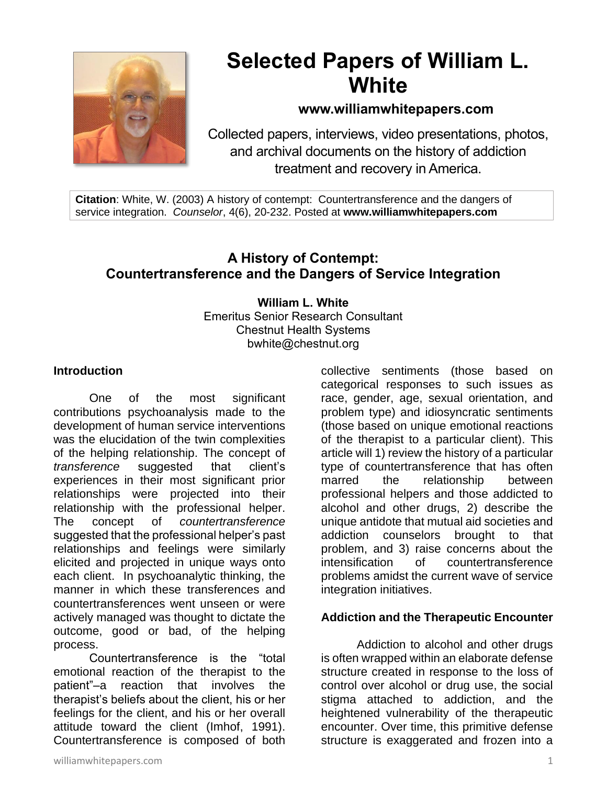

# **Selected Papers of William L. White**

# **www.williamwhitepapers.com**

Collected papers, interviews, video presentations, photos, and archival documents on the history of addiction treatment and recovery in America.

**Citation**: White, W. (2003) A history of contempt: Countertransference and the dangers of service integration. *Counselor*, 4(6), 20-232. Posted at **www.williamwhitepapers.com**

# **A History of Contempt: Countertransference and the Dangers of Service Integration**

#### **William L. White** Emeritus Senior Research Consultant Chestnut Health Systems bwhite@chestnut.org

#### **Introduction**

One of the most significant contributions psychoanalysis made to the development of human service interventions was the elucidation of the twin complexities of the helping relationship. The concept of *transference* suggested that client's experiences in their most significant prior relationships were projected into their relationship with the professional helper. The concept of *countertransference* suggested that the professional helper's past relationships and feelings were similarly elicited and projected in unique ways onto each client. In psychoanalytic thinking, the manner in which these transferences and countertransferences went unseen or were actively managed was thought to dictate the outcome, good or bad, of the helping process.

Countertransference is the "total emotional reaction of the therapist to the patient"–a reaction that involves the therapist's beliefs about the client, his or her feelings for the client, and his or her overall attitude toward the client (Imhof, 1991). Countertransference is composed of both collective sentiments (those based on categorical responses to such issues as race, gender, age, sexual orientation, and problem type) and idiosyncratic sentiments (those based on unique emotional reactions of the therapist to a particular client). This article will 1) review the history of a particular type of countertransference that has often marred the relationship between professional helpers and those addicted to alcohol and other drugs, 2) describe the unique antidote that mutual aid societies and addiction counselors brought to that problem, and 3) raise concerns about the intensification of countertransference problems amidst the current wave of service integration initiatives.

#### **Addiction and the Therapeutic Encounter**

Addiction to alcohol and other drugs is often wrapped within an elaborate defense structure created in response to the loss of control over alcohol or drug use, the social stigma attached to addiction, and the heightened vulnerability of the therapeutic encounter. Over time, this primitive defense structure is exaggerated and frozen into a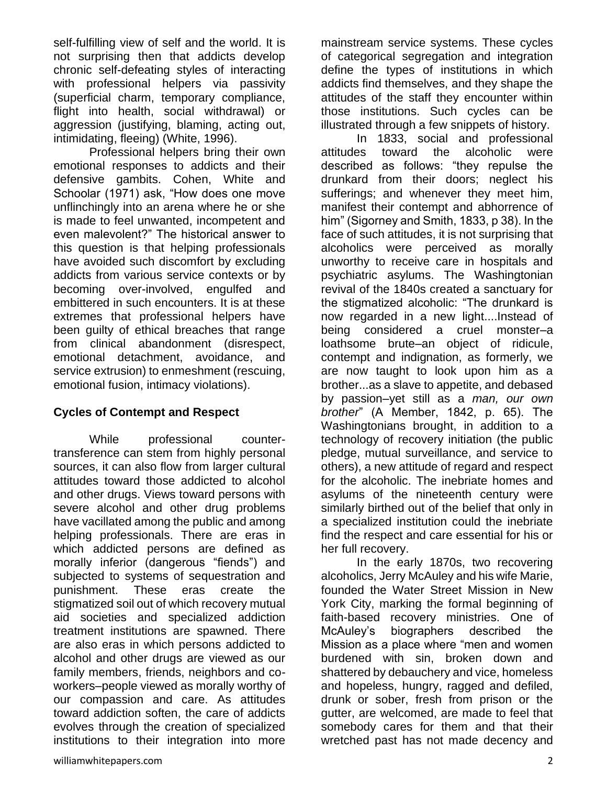self-fulfilling view of self and the world. It is not surprising then that addicts develop chronic self-defeating styles of interacting with professional helpers via passivity (superficial charm, temporary compliance, flight into health, social withdrawal) or aggression (justifying, blaming, acting out, intimidating, fleeing) (White, 1996).

Professional helpers bring their own emotional responses to addicts and their defensive gambits. Cohen, White and Schoolar (1971) ask, "How does one move unflinchingly into an arena where he or she is made to feel unwanted, incompetent and even malevolent?" The historical answer to this question is that helping professionals have avoided such discomfort by excluding addicts from various service contexts or by becoming over-involved, engulfed and embittered in such encounters. It is at these extremes that professional helpers have been guilty of ethical breaches that range from clinical abandonment (disrespect, emotional detachment, avoidance, and service extrusion) to enmeshment (rescuing, emotional fusion, intimacy violations).

## **Cycles of Contempt and Respect**

While professional countertransference can stem from highly personal sources, it can also flow from larger cultural attitudes toward those addicted to alcohol and other drugs. Views toward persons with severe alcohol and other drug problems have vacillated among the public and among helping professionals. There are eras in which addicted persons are defined as morally inferior (dangerous "fiends") and subjected to systems of sequestration and punishment. These eras create the stigmatized soil out of which recovery mutual aid societies and specialized addiction treatment institutions are spawned. There are also eras in which persons addicted to alcohol and other drugs are viewed as our family members, friends, neighbors and coworkers–people viewed as morally worthy of our compassion and care. As attitudes toward addiction soften, the care of addicts evolves through the creation of specialized institutions to their integration into more

In 1833, social and professional attitudes toward the alcoholic were described as follows: "they repulse the drunkard from their doors; neglect his sufferings; and whenever they meet him, manifest their contempt and abhorrence of him" (Sigorney and Smith, 1833, p 38). In the face of such attitudes, it is not surprising that alcoholics were perceived as morally unworthy to receive care in hospitals and psychiatric asylums. The Washingtonian revival of the 1840s created a sanctuary for the stigmatized alcoholic: "The drunkard is now regarded in a new light....Instead of being considered a cruel monster–a loathsome brute–an object of ridicule, contempt and indignation, as formerly, we are now taught to look upon him as a brother...as a slave to appetite, and debased by passion–yet still as a *man, our own brother*" (A Member, 1842, p. 65). The Washingtonians brought, in addition to a technology of recovery initiation (the public pledge, mutual surveillance, and service to others), a new attitude of regard and respect for the alcoholic. The inebriate homes and asylums of the nineteenth century were similarly birthed out of the belief that only in a specialized institution could the inebriate find the respect and care essential for his or her full recovery.

In the early 1870s, two recovering alcoholics, Jerry McAuley and his wife Marie, founded the Water Street Mission in New York City, marking the formal beginning of faith-based recovery ministries. One of McAuley's biographers described the Mission as a place where "men and women burdened with sin, broken down and shattered by debauchery and vice, homeless and hopeless, hungry, ragged and defiled, drunk or sober, fresh from prison or the gutter, are welcomed, are made to feel that somebody cares for them and that their wretched past has not made decency and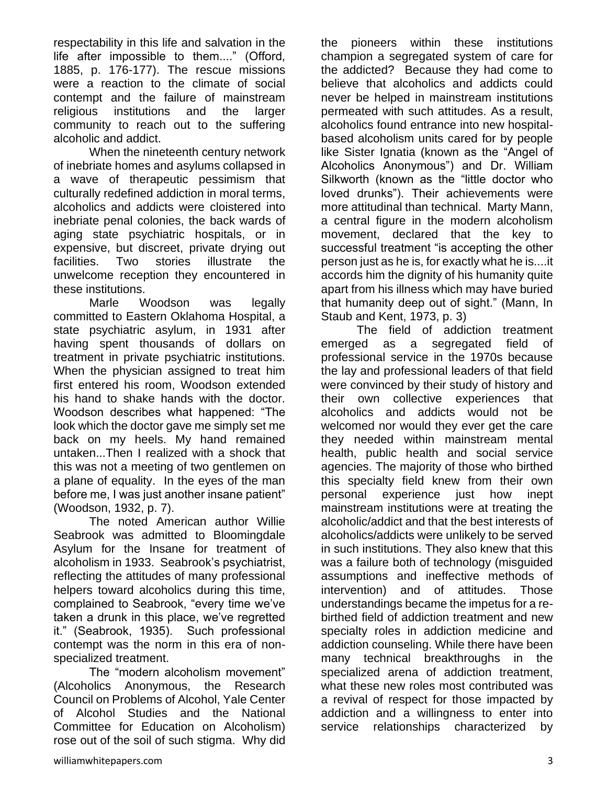respectability in this life and salvation in the life after impossible to them...." (Offord, 1885, p. 176-177). The rescue missions were a reaction to the climate of social contempt and the failure of mainstream religious institutions and the larger community to reach out to the suffering alcoholic and addict.

When the nineteenth century network of inebriate homes and asylums collapsed in a wave of therapeutic pessimism that culturally redefined addiction in moral terms, alcoholics and addicts were cloistered into inebriate penal colonies, the back wards of aging state psychiatric hospitals, or in expensive, but discreet, private drying out facilities. Two stories illustrate the unwelcome reception they encountered in these institutions.

Marle Woodson was legally committed to Eastern Oklahoma Hospital, a state psychiatric asylum, in 1931 after having spent thousands of dollars on treatment in private psychiatric institutions. When the physician assigned to treat him first entered his room, Woodson extended his hand to shake hands with the doctor. Woodson describes what happened: "The look which the doctor gave me simply set me back on my heels. My hand remained untaken...Then I realized with a shock that this was not a meeting of two gentlemen on a plane of equality. In the eyes of the man before me, I was just another insane patient" (Woodson, 1932, p. 7).

The noted American author Willie Seabrook was admitted to Bloomingdale Asylum for the Insane for treatment of alcoholism in 1933. Seabrook's psychiatrist, reflecting the attitudes of many professional helpers toward alcoholics during this time, complained to Seabrook, "every time we've taken a drunk in this place, we've regretted it." (Seabrook, 1935). Such professional contempt was the norm in this era of nonspecialized treatment.

The "modern alcoholism movement" (Alcoholics Anonymous, the Research Council on Problems of Alcohol, Yale Center of Alcohol Studies and the National Committee for Education on Alcoholism) rose out of the soil of such stigma. Why did the pioneers within these institutions champion a segregated system of care for the addicted? Because they had come to believe that alcoholics and addicts could never be helped in mainstream institutions permeated with such attitudes. As a result, alcoholics found entrance into new hospitalbased alcoholism units cared for by people like Sister Ignatia (known as the "Angel of Alcoholics Anonymous") and Dr. William Silkworth (known as the "little doctor who loved drunks"). Their achievements were more attitudinal than technical. Marty Mann, a central figure in the modern alcoholism movement, declared that the key to successful treatment "is accepting the other person just as he is, for exactly what he is....it accords him the dignity of his humanity quite apart from his illness which may have buried that humanity deep out of sight." (Mann, In Staub and Kent, 1973, p. 3)

The field of addiction treatment emerged as a segregated field of professional service in the 1970s because the lay and professional leaders of that field were convinced by their study of history and their own collective experiences that alcoholics and addicts would not be welcomed nor would they ever get the care they needed within mainstream mental health, public health and social service agencies. The majority of those who birthed this specialty field knew from their own personal experience just how inept mainstream institutions were at treating the alcoholic/addict and that the best interests of alcoholics/addicts were unlikely to be served in such institutions. They also knew that this was a failure both of technology (misguided assumptions and ineffective methods of intervention) and of attitudes. Those understandings became the impetus for a rebirthed field of addiction treatment and new specialty roles in addiction medicine and addiction counseling. While there have been many technical breakthroughs in the specialized arena of addiction treatment, what these new roles most contributed was a revival of respect for those impacted by addiction and a willingness to enter into service relationships characterized by